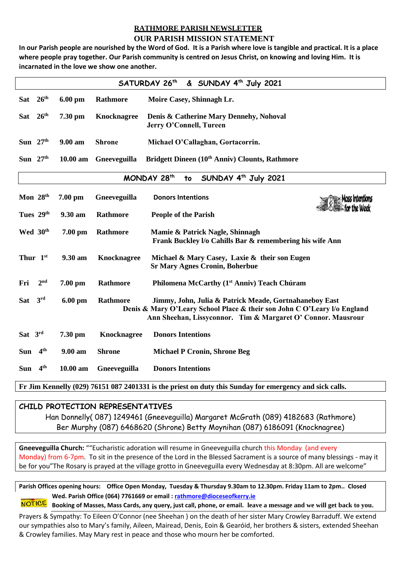## **RATHMORE PARISH NEWSLETTER**

## **OUR PARISH MISSION STATEMENT**

**In our Parish people are nourished by the Word of God. It is a Parish where love is tangible and practical. It is a place where people pray together. Our Parish community is centred on Jesus Christ, on knowing and loving Him. It is incarnated in the love we show one another.**

| SATURDAY 26th<br>& SUNDAY 4 <sup>th</sup> July 2021                                                     |                  |           |                    |                                                                                                                                                                                                    |
|---------------------------------------------------------------------------------------------------------|------------------|-----------|--------------------|----------------------------------------------------------------------------------------------------------------------------------------------------------------------------------------------------|
| <b>Sat</b>                                                                                              | 26 <sup>th</sup> | 6.00 pm   | Rathmore           | Moire Casey, Shinnagh Lr.                                                                                                                                                                          |
| <b>Sat</b>                                                                                              | 26 <sup>th</sup> | 7.30 pm   | <b>Knocknagree</b> | Denis & Catherine Mary Dennehy, Nohoval<br>Jerry O'Connell, Tureen                                                                                                                                 |
| Sun $27th$                                                                                              |                  | 9.00 am   | <b>Shrone</b>      | Michael O'Callaghan, Gortacorrin.                                                                                                                                                                  |
| Sun $27th$                                                                                              |                  | 10.00 am  | Gneeveguilla       | Bridgett Dineen (10 <sup>th</sup> Anniv) Clounts, Rathmore                                                                                                                                         |
| MONDAY 28th<br>SUNDAY 4 <sup>th</sup> July 2021<br>to                                                   |                  |           |                    |                                                                                                                                                                                                    |
| Mon 28 <sup>th</sup>                                                                                    |                  | $7.00$ pm | Gneeveguilla       | <b>Donors Intentions</b>                                                                                                                                                                           |
| Tues 29th                                                                                               |                  | 9.30 am   | <b>Rathmore</b>    | <b>People of the Parish</b>                                                                                                                                                                        |
|                                                                                                         | Wed 30th         | 7.00 pm   | Rathmore           | Mamie & Patrick Nagle, Shinnagh<br>Frank Buckley I/o Cahills Bar & remembering his wife Ann                                                                                                        |
| Thur 1st                                                                                                |                  | 9.30 am   | <b>Knocknagree</b> | Michael & Mary Casey, Laxie & their son Eugen<br><b>Sr Mary Agnes Cronin, Boherbue</b>                                                                                                             |
| Fri                                                                                                     | 2 <sup>nd</sup>  | $7.00$ pm | Rathmore           | Philomena McCarthy (1 <sup>st</sup> Anniv) Teach Chúram                                                                                                                                            |
| <b>Sat</b>                                                                                              | 3 <sup>rd</sup>  | $6.00$ pm | Rathmore           | Jimmy, John, Julia & Patrick Meade, Gortnahaneboy East<br>Denis & Mary O'Leary School Place & their son John C O'Leary I/o England<br>Ann Sheehan, Lissyconnor. Tim & Margaret O' Connor. Mausrour |
| Sat 3rd                                                                                                 |                  | $7.30$ pm | <b>Knocknagree</b> | <b>Donors Intentions</b>                                                                                                                                                                           |
| <b>Sun</b>                                                                                              | 4 <sup>th</sup>  | 9.00 am   | <b>Shrone</b>      | <b>Michael P Cronin, Shrone Beg</b>                                                                                                                                                                |
| <b>Sun</b>                                                                                              | 4 <sup>th</sup>  | 10.00 am  | Gneeveguilla       | <b>Donors Intentions</b>                                                                                                                                                                           |
| Fr Jim Kennelly (029) 76151 087 2401331 is the priest on duty this Sunday for emergency and sick calls. |                  |           |                    |                                                                                                                                                                                                    |

## **CHILD PROTECTION REPRESENTATIVES**

Han Donnelly( 087) 1249461 (Gneeveguilla) Margaret McGrath (089) 4182683 (Rathmore) Ber Murphy (087) 6468620 (Shrone) Betty Moynihan (087) 6186091 (Knocknagree)

**Gneeveguilla Church:** ""Eucharistic adoration will resume in Gneeveguilla church this Monday (and every Monday) from 6-7pm. To sit in the presence of the Lord in the Blessed Sacrament is a source of many blessings - may it be for you"The Rosary is prayed at the village grotto in Gneeveguilla every Wednesday at 8:30pm. All are welcome"

**Parish Offices opening hours: Office Open Monday, Tuesday & Thursday 9.30am to 12.30pm. Friday 11am to 2pm.. Closed Wed. Parish Office (064) 7761669 or email : [rathmore@dioceseofkerry.ie](mailto:rathmore@dioceseofkerry.ie)** 

**Booking of Masses, Mass Cards, any query, just call, phone, or email. leave a message and we will get back to you.** 

Prayers & Sympathy: To Eileen O'Connor (nee Sheehan ) on the death of her sister Mary Crowley Barraduff. We extend our sympathies also to Mary's family, Aileen, Mairead, Denis, Eoin & Gearóid, her brothers & sisters, extended Sheehan & Crowley families. May Mary rest in peace and those who mourn her be comforted.